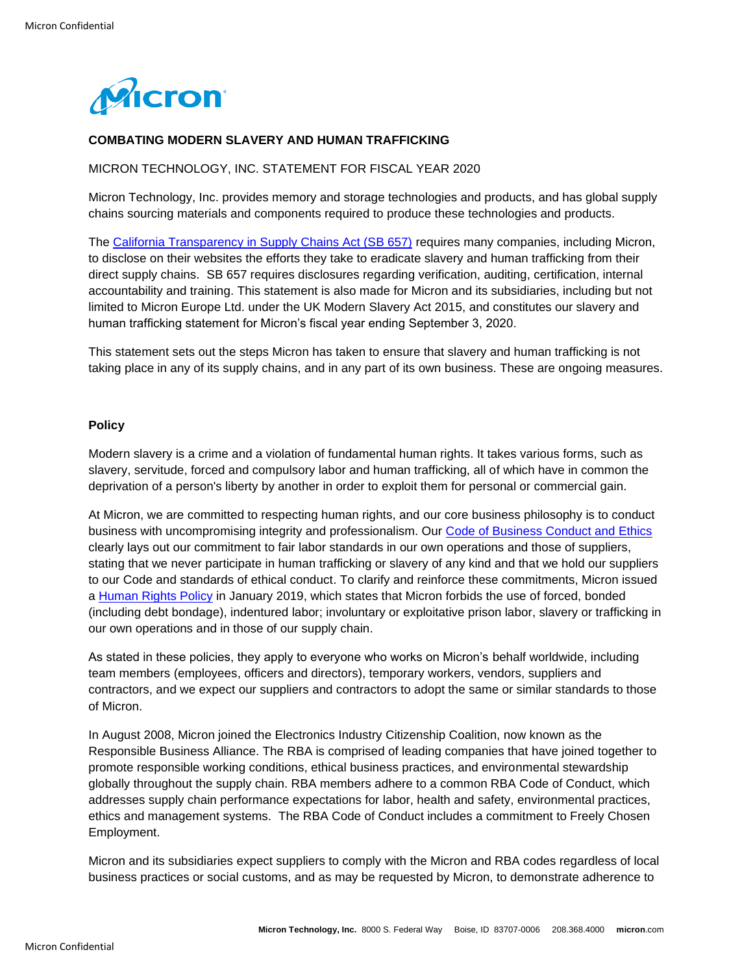

# **COMBATING MODERN SLAVERY AND HUMAN TRAFFICKING**

### MICRON TECHNOLOGY, INC. STATEMENT FOR FISCAL YEAR 2020

Micron Technology, Inc. provides memory and storage technologies and products, and has global supply chains sourcing materials and components required to produce these technologies and products.

The [California Transparency in Supply Chains Act \(SB 657\)](http://www.state.gov/documents/organization/164934.pdf) requires many companies, including Micron, to disclose on their websites the efforts they take to eradicate slavery and human trafficking from their direct supply chains. SB 657 requires disclosures regarding verification, auditing, certification, internal accountability and training. This statement is also made for Micron and its subsidiaries, including but not limited to Micron Europe Ltd. under the UK Modern Slavery Act 2015, and constitutes our slavery and human trafficking statement for Micron's fiscal year ending September 3, 2020.

This statement sets out the steps Micron has taken to ensure that slavery and human trafficking is not taking place in any of its supply chains, and in any part of its own business. These are ongoing measures.

#### **Policy**

Modern slavery is a crime and a violation of fundamental human rights. It takes various forms, such as slavery, servitude, forced and compulsory labor and human trafficking, all of which have in common the deprivation of a person's liberty by another in order to exploit them for personal or commercial gain.

At Micron, we are committed to respecting human rights, and our core business philosophy is to conduct business with uncompromising integrity and professionalism. Our [Code of Business Conduct and Ethics](https://www.micron.com/about/our-commitment/operating-thoughtfully/compliance-and-ethics/ethics) clearly lays out our commitment to fair labor standards in our own operations and those of suppliers, stating that we never participate in human trafficking or slavery of any kind and that we hold our suppliers to our Code and standards of ethical conduct. To clarify and reinforce these commitments, Micron issued a [Human Rights Policy](https://www.micron.com/-/media/client/global/documents/general/about/human-rights-policy.pdf?la=en) in January 2019, which states that Micron forbids the use of forced, bonded (including debt bondage), indentured labor; involuntary or exploitative prison labor, slavery or trafficking in our own operations and in those of our supply chain.

As stated in these policies, they apply to everyone who works on Micron's behalf worldwide, including team members (employees, officers and directors), temporary workers, vendors, suppliers and contractors, and we expect our suppliers and contractors to adopt the same or similar standards to those of Micron.

In August 2008, Micron joined the Electronics Industry Citizenship Coalition, now known as the Responsible Business Alliance. The RBA is comprised of leading companies that have joined together to promote responsible working conditions, ethical business practices, and environmental stewardship globally throughout the supply chain. RBA members adhere to a common RBA Code of Conduct, which addresses supply chain performance expectations for labor, health and safety, environmental practices, ethics and management systems. The RBA Code of Conduct includes a commitment to Freely Chosen Employment.

Micron and its subsidiaries expect suppliers to comply with the Micron and RBA codes regardless of local business practices or social customs, and as may be requested by Micron, to demonstrate adherence to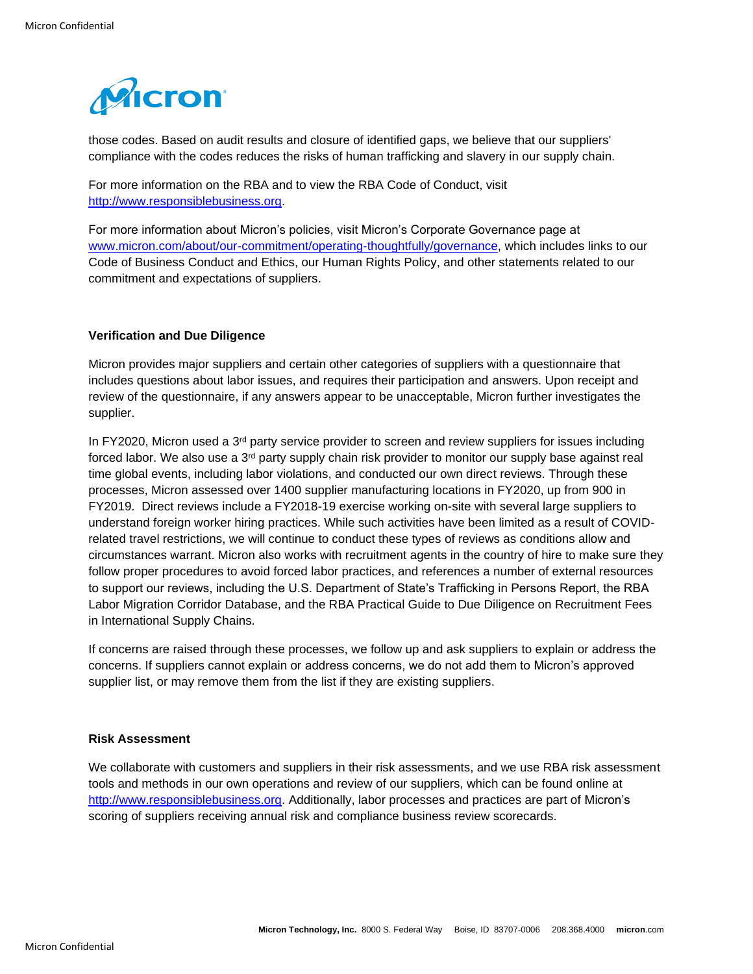

those codes. Based on audit results and closure of identified gaps, we believe that our suppliers' compliance with the codes reduces the risks of human trafficking and slavery in our supply chain.

For more information on the RBA and to view the RBA Code of Conduct, visit [http://www.responsiblebusiness.org.](http://www.responsiblebusiness.org/)

For more information about Micron's policies, visit Micron's Corporate Governance page at [www.micron.com/about/our-commitment/operating-thoughtfully/governance,](http://www.micron.com/about/our-commitment/operating-thoughtfully/governance) which includes links to our Code of Business Conduct and Ethics, our Human Rights Policy, and other statements related to our commitment and expectations of suppliers.

# **Verification and Due Diligence**

Micron provides major suppliers and certain other categories of suppliers with a questionnaire that includes questions about labor issues, and requires their participation and answers. Upon receipt and review of the questionnaire, if any answers appear to be unacceptable, Micron further investigates the supplier.

In FY2020, Micron used a  $3<sup>rd</sup>$  party service provider to screen and review suppliers for issues including forced labor. We also use a  $3<sup>rd</sup>$  party supply chain risk provider to monitor our supply base against real time global events, including labor violations, and conducted our own direct reviews. Through these processes, Micron assessed over 1400 supplier manufacturing locations in FY2020, up from 900 in FY2019. Direct reviews include a FY2018-19 exercise working on-site with several large suppliers to understand foreign worker hiring practices. While such activities have been limited as a result of COVIDrelated travel restrictions, we will continue to conduct these types of reviews as conditions allow and circumstances warrant. Micron also works with recruitment agents in the country of hire to make sure they follow proper procedures to avoid forced labor practices, and references a number of external resources to support our reviews, including the U.S. Department of State's Trafficking in Persons Report, the RBA Labor Migration Corridor Database, and the RBA Practical Guide to Due Diligence on Recruitment Fees in International Supply Chains.

If concerns are raised through these processes, we follow up and ask suppliers to explain or address the concerns. If suppliers cannot explain or address concerns, we do not add them to Micron's approved supplier list, or may remove them from the list if they are existing suppliers.

### **Risk Assessment**

We collaborate with customers and suppliers in their risk assessments, and we use RBA risk assessment tools and methods in our own operations and review of our suppliers, which can be found online at [http://www.responsiblebusiness.org.](http://www.responsiblebusiness.org/) Additionally, labor processes and practices are part of Micron's scoring of suppliers receiving annual risk and compliance business review scorecards.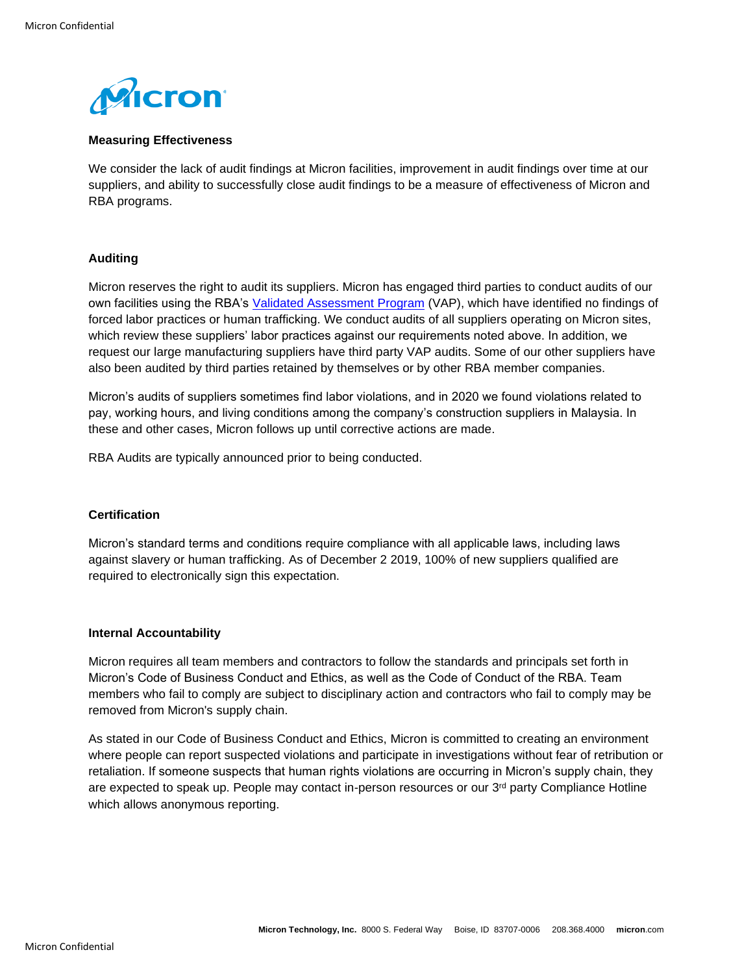

# **Measuring Effectiveness**

We consider the lack of audit findings at Micron facilities, improvement in audit findings over time at our suppliers, and ability to successfully close audit findings to be a measure of effectiveness of Micron and RBA programs.

# **Auditing**

Micron reserves the right to audit its suppliers. Micron has engaged third parties to conduct audits of our own facilities using the RBA's [Validated Assessment Program](http://www.responsiblebusiness.org/vap/about-vap/) (VAP), which have identified no findings of forced labor practices or human trafficking. We conduct audits of all suppliers operating on Micron sites, which review these suppliers' labor practices against our requirements noted above. In addition, we request our large manufacturing suppliers have third party VAP audits. Some of our other suppliers have also been audited by third parties retained by themselves or by other RBA member companies.

Micron's audits of suppliers sometimes find labor violations, and in 2020 we found violations related to pay, working hours, and living conditions among the company's construction suppliers in Malaysia. In these and other cases, Micron follows up until corrective actions are made.

RBA Audits are typically announced prior to being conducted.

# **Certification**

Micron's standard terms and conditions require compliance with all applicable laws, including laws against slavery or human trafficking. As of December 2 2019, 100% of new suppliers qualified are required to electronically sign this expectation.

### **Internal Accountability**

Micron requires all team members and contractors to follow the standards and principals set forth in Micron's Code of Business Conduct and Ethics, as well as the Code of Conduct of the RBA. Team members who fail to comply are subject to disciplinary action and contractors who fail to comply may be removed from Micron's supply chain.

As stated in our Code of Business Conduct and Ethics, Micron is committed to creating an environment where people can report suspected violations and participate in investigations without fear of retribution or retaliation. If someone suspects that human rights violations are occurring in Micron's supply chain, they are expected to speak up. People may contact in-person resources or our 3<sup>rd</sup> party Compliance Hotline which allows anonymous reporting.